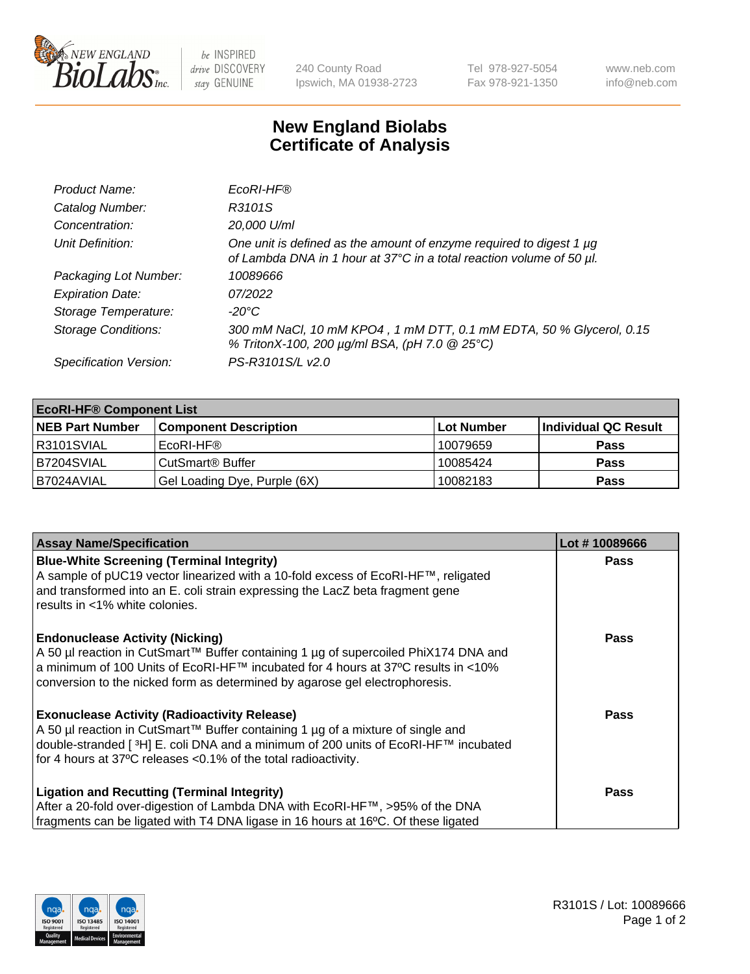

be INSPIRED drive DISCOVERY stay GENUINE

240 County Road Ipswich, MA 01938-2723 Tel 978-927-5054 Fax 978-921-1350 www.neb.com info@neb.com

## **New England Biolabs Certificate of Analysis**

| Product Name:              | EcoRI-HF®                                                                                                                                   |
|----------------------------|---------------------------------------------------------------------------------------------------------------------------------------------|
| Catalog Number:            | R3101S                                                                                                                                      |
| Concentration:             | 20,000 U/ml                                                                                                                                 |
| Unit Definition:           | One unit is defined as the amount of enzyme required to digest 1 µg<br>of Lambda DNA in 1 hour at 37°C in a total reaction volume of 50 µl. |
| Packaging Lot Number:      | 10089666                                                                                                                                    |
| <b>Expiration Date:</b>    | 07/2022                                                                                                                                     |
| Storage Temperature:       | -20°C                                                                                                                                       |
| <b>Storage Conditions:</b> | 300 mM NaCl, 10 mM KPO4, 1 mM DTT, 0.1 mM EDTA, 50 % Glycerol, 0.15<br>% TritonX-100, 200 µg/ml BSA, (pH 7.0 @ 25°C)                        |
| Specification Version:     | PS-R3101S/L v2.0                                                                                                                            |

| <b>EcoRI-HF® Component List</b> |                              |            |                      |  |  |
|---------------------------------|------------------------------|------------|----------------------|--|--|
| <b>NEB Part Number</b>          | <b>Component Description</b> | Lot Number | Individual QC Result |  |  |
| IR3101SVIAL                     | EcoRI-HF®                    | 10079659   | <b>Pass</b>          |  |  |
| IB7204SVIAL                     | CutSmart <sup>®</sup> Buffer | 10085424   | <b>Pass</b>          |  |  |
| I B7024AVIAL                    | Gel Loading Dye, Purple (6X) | 10082183   | <b>Pass</b>          |  |  |

| <b>Assay Name/Specification</b>                                                                                                                                           | Lot #10089666 |
|---------------------------------------------------------------------------------------------------------------------------------------------------------------------------|---------------|
| <b>Blue-White Screening (Terminal Integrity)</b><br>A sample of pUC19 vector linearized with a 10-fold excess of EcoRI-HF™, religated                                     | <b>Pass</b>   |
| and transformed into an E. coli strain expressing the LacZ beta fragment gene<br>results in <1% white colonies.                                                           |               |
| <b>Endonuclease Activity (Nicking)</b>                                                                                                                                    | Pass          |
| A 50 µl reaction in CutSmart™ Buffer containing 1 µg of supercoiled PhiX174 DNA and<br> a minimum of 100 Units of EcoRI-HF™ incubated for 4 hours at 37°C results in <10% |               |
| conversion to the nicked form as determined by agarose gel electrophoresis.                                                                                               |               |
| <b>Exonuclease Activity (Radioactivity Release)</b>                                                                                                                       | Pass          |
| A 50 µl reaction in CutSmart™ Buffer containing 1 µg of a mixture of single and                                                                                           |               |
| double-stranded [ <sup>3</sup> H] E. coli DNA and a minimum of 200 units of EcoRI-HF™ incubated<br>for 4 hours at 37°C releases < 0.1% of the total radioactivity.        |               |
| <b>Ligation and Recutting (Terminal Integrity)</b>                                                                                                                        | <b>Pass</b>   |
| After a 20-fold over-digestion of Lambda DNA with EcoRI-HF™, >95% of the DNA                                                                                              |               |
| fragments can be ligated with T4 DNA ligase in 16 hours at 16°C. Of these ligated                                                                                         |               |